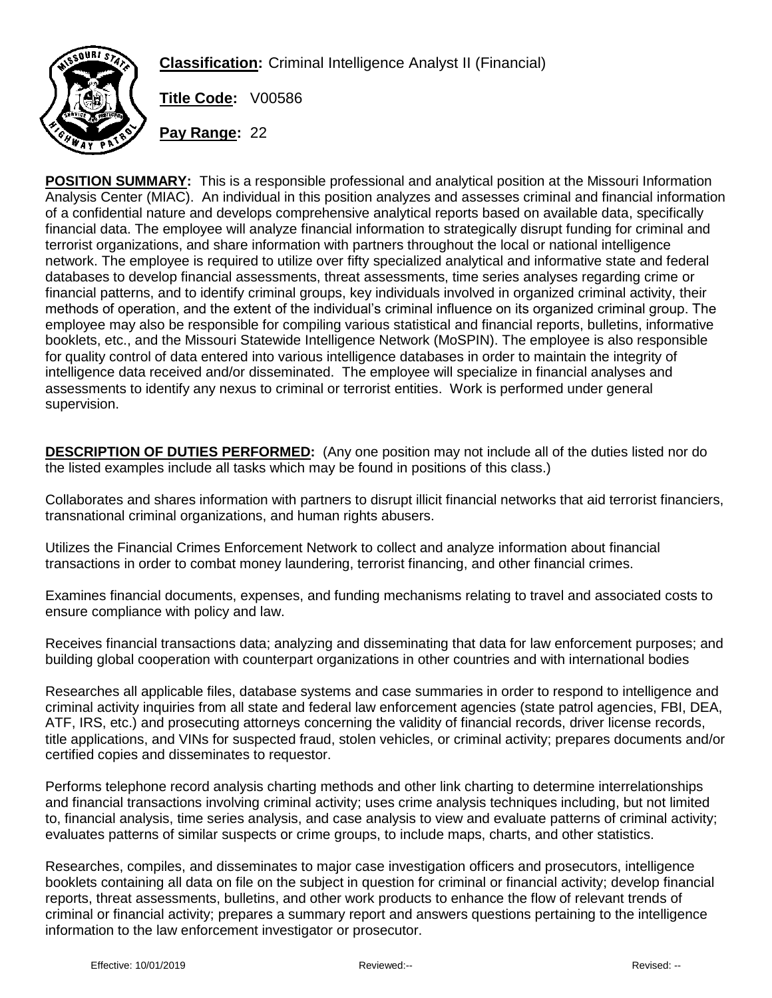**Classification:** Criminal Intelligence Analyst II (Financial)



**Title Code:** V00586

**Pay Range:** 22

**POSITION SUMMARY:** This is a responsible professional and analytical position at the Missouri Information Analysis Center (MIAC). An individual in this position analyzes and assesses criminal and financial information of a confidential nature and develops comprehensive analytical reports based on available data, specifically financial data. The employee will analyze financial information to strategically disrupt funding for criminal and terrorist organizations, and share information with partners throughout the local or national intelligence network. The employee is required to utilize over fifty specialized analytical and informative state and federal databases to develop financial assessments, threat assessments, time series analyses regarding crime or financial patterns, and to identify criminal groups, key individuals involved in organized criminal activity, their methods of operation, and the extent of the individual's criminal influence on its organized criminal group. The employee may also be responsible for compiling various statistical and financial reports, bulletins, informative booklets, etc., and the Missouri Statewide Intelligence Network (MoSPIN). The employee is also responsible for quality control of data entered into various intelligence databases in order to maintain the integrity of intelligence data received and/or disseminated. The employee will specialize in financial analyses and assessments to identify any nexus to criminal or terrorist entities. Work is performed under general supervision.

**DESCRIPTION OF DUTIES PERFORMED:** (Any one position may not include all of the duties listed nor do the listed examples include all tasks which may be found in positions of this class.)

Collaborates and shares information with partners to disrupt illicit financial networks that aid terrorist financiers, transnational criminal organizations, and human rights abusers.

Utilizes the Financial Crimes Enforcement Network to collect and analyze information about financial transactions in order to combat money laundering, terrorist financing, and other financial crimes.

Examines financial documents, expenses, and funding mechanisms relating to travel and associated costs to ensure compliance with policy and law.

Receives financial transactions data; analyzing and disseminating that data for law enforcement purposes; and building global cooperation with counterpart organizations in other countries and with international bodies

Researches all applicable files, database systems and case summaries in order to respond to intelligence and criminal activity inquiries from all state and federal law enforcement agencies (state patrol agencies, FBI, DEA, ATF, IRS, etc.) and prosecuting attorneys concerning the validity of financial records, driver license records, title applications, and VINs for suspected fraud, stolen vehicles, or criminal activity; prepares documents and/or certified copies and disseminates to requestor.

Performs telephone record analysis charting methods and other link charting to determine interrelationships and financial transactions involving criminal activity; uses crime analysis techniques including, but not limited to, financial analysis, time series analysis, and case analysis to view and evaluate patterns of criminal activity; evaluates patterns of similar suspects or crime groups, to include maps, charts, and other statistics.

Researches, compiles, and disseminates to major case investigation officers and prosecutors, intelligence booklets containing all data on file on the subject in question for criminal or financial activity; develop financial reports, threat assessments, bulletins, and other work products to enhance the flow of relevant trends of criminal or financial activity; prepares a summary report and answers questions pertaining to the intelligence information to the law enforcement investigator or prosecutor.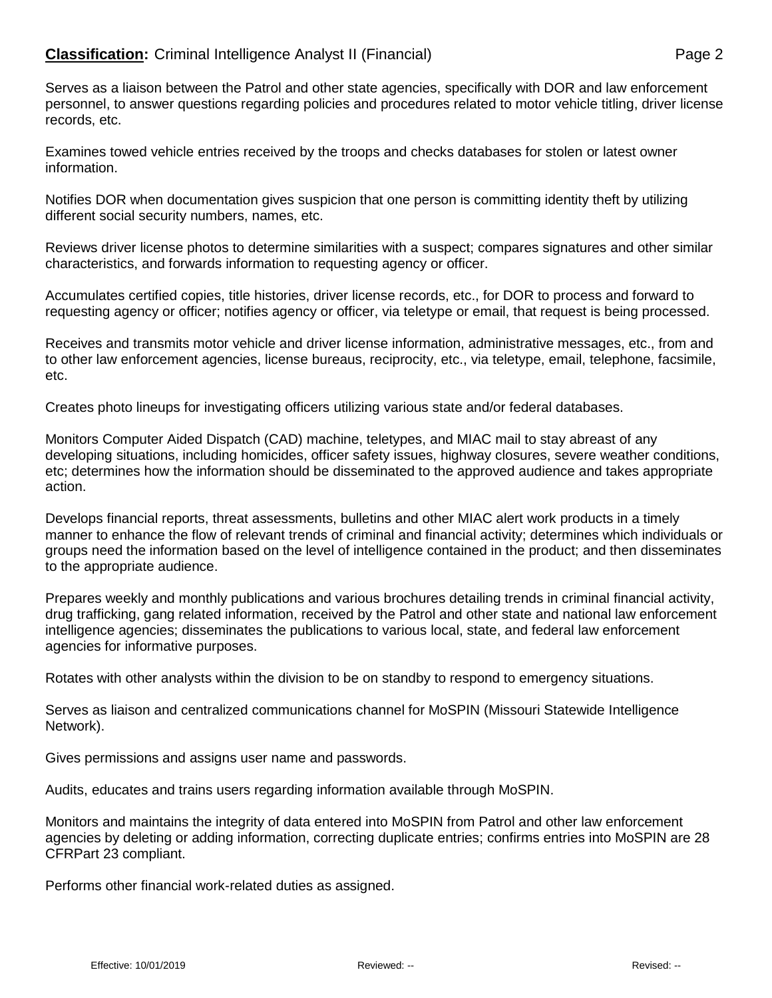## **Classification:** Criminal Intelligence Analyst II (Financial) **Page 2** Page 2

Serves as a liaison between the Patrol and other state agencies, specifically with DOR and law enforcement personnel, to answer questions regarding policies and procedures related to motor vehicle titling, driver license records, etc.

Examines towed vehicle entries received by the troops and checks databases for stolen or latest owner information.

Notifies DOR when documentation gives suspicion that one person is committing identity theft by utilizing different social security numbers, names, etc.

Reviews driver license photos to determine similarities with a suspect; compares signatures and other similar characteristics, and forwards information to requesting agency or officer.

Accumulates certified copies, title histories, driver license records, etc., for DOR to process and forward to requesting agency or officer; notifies agency or officer, via teletype or email, that request is being processed.

Receives and transmits motor vehicle and driver license information, administrative messages, etc., from and to other law enforcement agencies, license bureaus, reciprocity, etc., via teletype, email, telephone, facsimile, etc.

Creates photo lineups for investigating officers utilizing various state and/or federal databases.

Monitors Computer Aided Dispatch (CAD) machine, teletypes, and MIAC mail to stay abreast of any developing situations, including homicides, officer safety issues, highway closures, severe weather conditions, etc; determines how the information should be disseminated to the approved audience and takes appropriate action.

Develops financial reports, threat assessments, bulletins and other MIAC alert work products in a timely manner to enhance the flow of relevant trends of criminal and financial activity; determines which individuals or groups need the information based on the level of intelligence contained in the product; and then disseminates to the appropriate audience.

Prepares weekly and monthly publications and various brochures detailing trends in criminal financial activity, drug trafficking, gang related information, received by the Patrol and other state and national law enforcement intelligence agencies; disseminates the publications to various local, state, and federal law enforcement agencies for informative purposes.

Rotates with other analysts within the division to be on standby to respond to emergency situations.

Serves as liaison and centralized communications channel for MoSPIN (Missouri Statewide Intelligence Network).

Gives permissions and assigns user name and passwords.

Audits, educates and trains users regarding information available through MoSPIN.

Monitors and maintains the integrity of data entered into MoSPIN from Patrol and other law enforcement agencies by deleting or adding information, correcting duplicate entries; confirms entries into MoSPIN are 28 CFRPart 23 compliant.

Performs other financial work-related duties as assigned.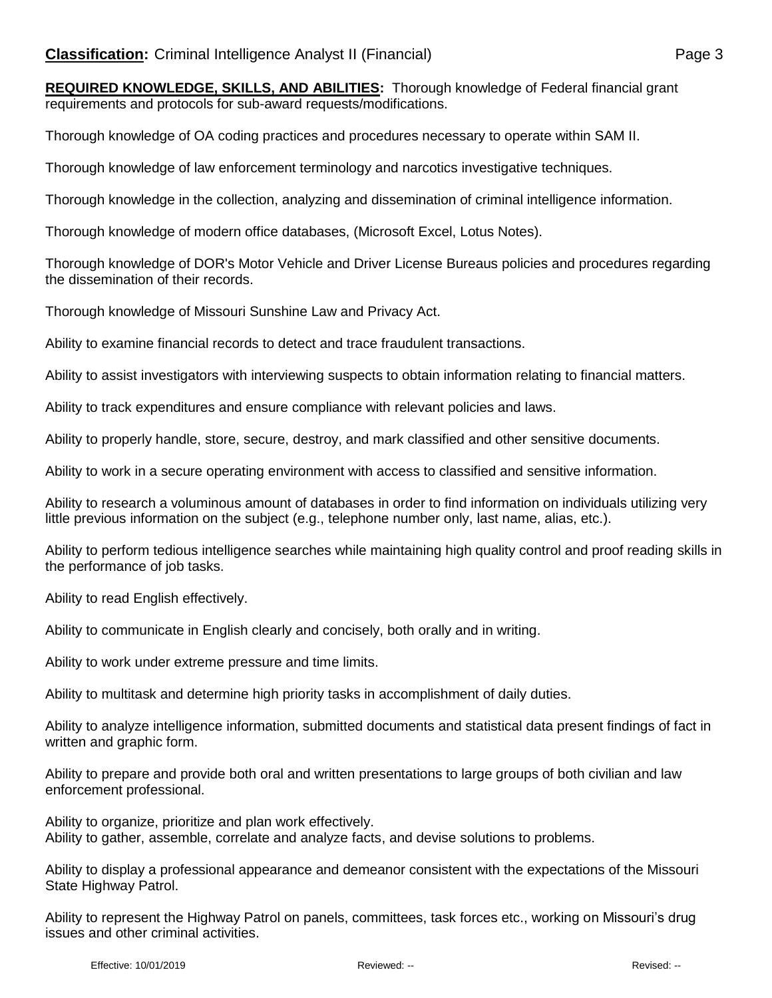**REQUIRED KNOWLEDGE, SKILLS, AND ABILITIES:** Thorough knowledge of Federal financial grant requirements and protocols for sub-award requests/modifications.

Thorough knowledge of OA coding practices and procedures necessary to operate within SAM II.

Thorough knowledge of law enforcement terminology and narcotics investigative techniques.

Thorough knowledge in the collection, analyzing and dissemination of criminal intelligence information.

Thorough knowledge of modern office databases, (Microsoft Excel, Lotus Notes).

Thorough knowledge of DOR's Motor Vehicle and Driver License Bureaus policies and procedures regarding the dissemination of their records.

Thorough knowledge of Missouri Sunshine Law and Privacy Act.

Ability to examine financial records to detect and trace fraudulent transactions.

Ability to assist investigators with interviewing suspects to obtain information relating to financial matters.

Ability to track expenditures and ensure compliance with relevant policies and laws.

Ability to properly handle, store, secure, destroy, and mark classified and other sensitive documents.

Ability to work in a secure operating environment with access to classified and sensitive information.

Ability to research a voluminous amount of databases in order to find information on individuals utilizing very little previous information on the subject (e.g., telephone number only, last name, alias, etc.).

Ability to perform tedious intelligence searches while maintaining high quality control and proof reading skills in the performance of job tasks.

Ability to read English effectively.

Ability to communicate in English clearly and concisely, both orally and in writing.

Ability to work under extreme pressure and time limits.

Ability to multitask and determine high priority tasks in accomplishment of daily duties.

Ability to analyze intelligence information, submitted documents and statistical data present findings of fact in written and graphic form.

Ability to prepare and provide both oral and written presentations to large groups of both civilian and law enforcement professional.

Ability to organize, prioritize and plan work effectively. Ability to gather, assemble, correlate and analyze facts, and devise solutions to problems.

Ability to display a professional appearance and demeanor consistent with the expectations of the Missouri State Highway Patrol.

Ability to represent the Highway Patrol on panels, committees, task forces etc., working on Missouri's drug issues and other criminal activities.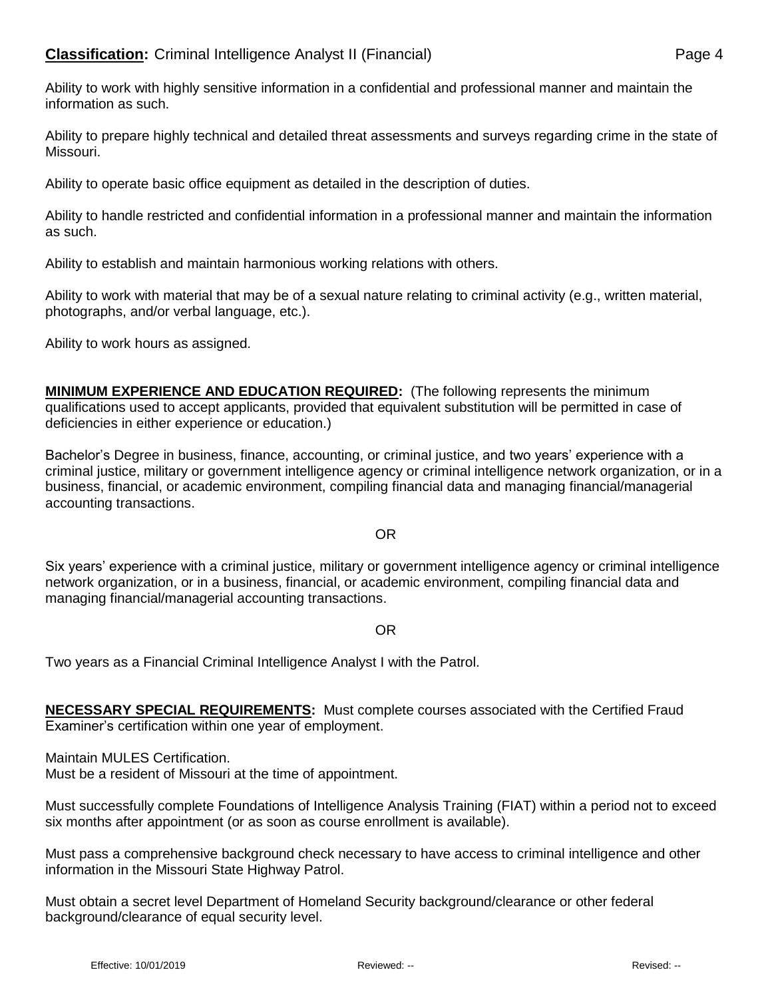Ability to prepare highly technical and detailed threat assessments and surveys regarding crime in the state of Missouri.

Ability to operate basic office equipment as detailed in the description of duties.

Ability to handle restricted and confidential information in a professional manner and maintain the information as such.

Ability to establish and maintain harmonious working relations with others.

Ability to work with material that may be of a sexual nature relating to criminal activity (e.g., written material, photographs, and/or verbal language, etc.).

Ability to work hours as assigned.

**MINIMUM EXPERIENCE AND EDUCATION REQUIRED:** (The following represents the minimum qualifications used to accept applicants, provided that equivalent substitution will be permitted in case of deficiencies in either experience or education.)

Bachelor's Degree in business, finance, accounting, or criminal justice, and two years' experience with a criminal justice, military or government intelligence agency or criminal intelligence network organization, or in a business, financial, or academic environment, compiling financial data and managing financial/managerial accounting transactions.

## OR

Six years' experience with a criminal justice, military or government intelligence agency or criminal intelligence network organization, or in a business, financial, or academic environment, compiling financial data and managing financial/managerial accounting transactions.

OR

Two years as a Financial Criminal Intelligence Analyst I with the Patrol.

**NECESSARY SPECIAL REQUIREMENTS:** Must complete courses associated with the Certified Fraud Examiner's certification within one year of employment.

Maintain MULES Certification.

Must be a resident of Missouri at the time of appointment.

Must successfully complete Foundations of Intelligence Analysis Training (FIAT) within a period not to exceed six months after appointment (or as soon as course enrollment is available).

Must pass a comprehensive background check necessary to have access to criminal intelligence and other information in the Missouri State Highway Patrol.

Must obtain a secret level Department of Homeland Security background/clearance or other federal background/clearance of equal security level.